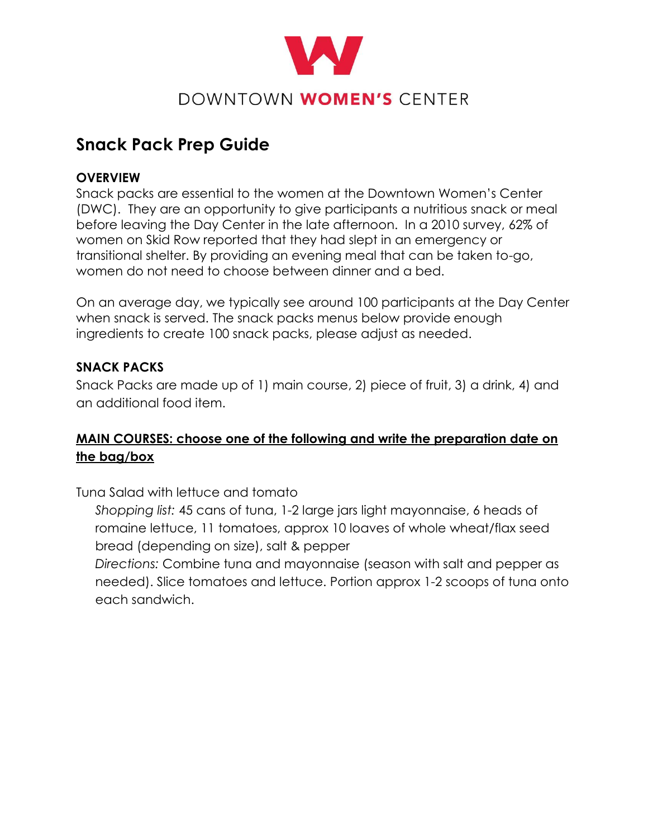

# **Snack Pack Prep Guide**

## **OVERVIEW**

Snack packs are essential to the women at the Downtown Women's Center (DWC). They are an opportunity to give participants a nutritious snack or meal before leaving the Day Center in the late afternoon. In a 2010 survey, 62% of women on Skid Row reported that they had slept in an emergency or transitional shelter. By providing an evening meal that can be taken to-go, women do not need to choose between dinner and a bed.

On an average day, we typically see around 100 participants at the Day Center when snack is served. The snack packs menus below provide enough ingredients to create 100 snack packs, please adjust as needed.

## **SNACK PACKS**

Snack Packs are made up of 1) main course, 2) piece of fruit, 3) a drink, 4) and an additional food item.

# **MAIN COURSES: choose one of the following and write the preparation date on the bag/box**

Tuna Salad with lettuce and tomato

*Shopping list:* 45 cans of tuna, 1-2 large jars light mayonnaise, 6 heads of romaine lettuce, 11 tomatoes, approx 10 loaves of whole wheat/flax seed bread (depending on size), salt & pepper

*Directions:* Combine tuna and mayonnaise (season with salt and pepper as needed). Slice tomatoes and lettuce. Portion approx 1-2 scoops of tuna onto each sandwich.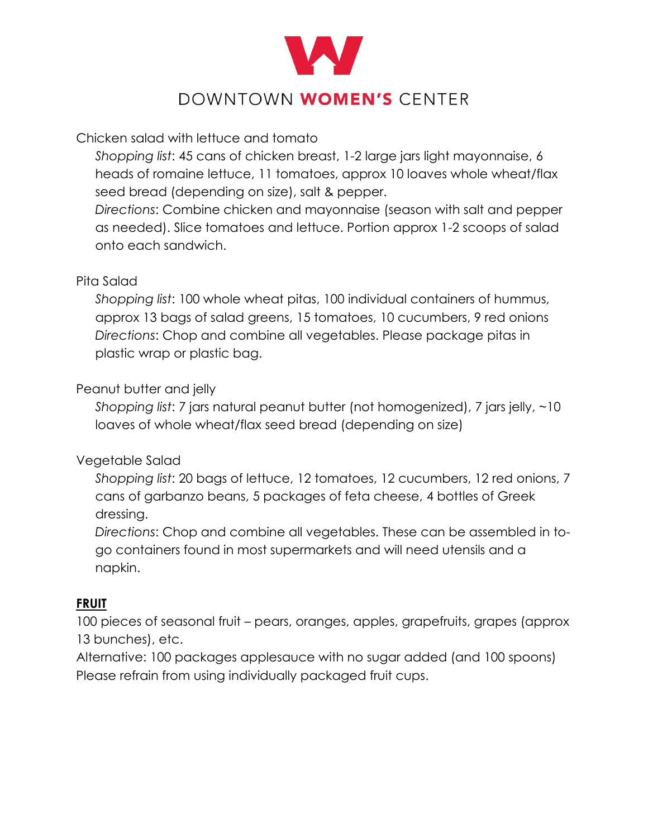

# DOWNTOWN WOMEN'S CENTER

## Chicken salad with lettuce and tomato

*Shopping list*: 45 cans of chicken breast, 1-2 large jars light mayonnaise, 6 heads of romaine lettuce, 11 tomatoes, approx 10 loaves whole wheat/flax seed bread (depending on size), salt & pepper.

*Directions*: Combine chicken and mayonnaise (season with salt and pepper as needed). Slice tomatoes and lettuce. Portion approx 1-2 scoops of salad onto each sandwich.

#### Pita Salad

*Shopping list*: 100 whole wheat pitas, 100 individual containers of hummus, approx 13 bags of salad greens, 15 tomatoes, 10 cucumbers, 9 red onions *Directions*: Chop and combine all vegetables. Please package pitas in plastic wrap or plastic bag.

## Peanut butter and jelly

*Shopping list*: 7 jars natural peanut butter (not homogenized), 7 jars jelly, ~10 loaves of whole wheat/flax seed bread (depending on size)

## Vegetable Salad

*Shopping list*: 20 bags of lettuce, 12 tomatoes, 12 cucumbers, 12 red onions, 7 cans of garbanzo beans, 5 packages of feta cheese, 4 bottles of Greek dressing.

*Directions*: Chop and combine all vegetables. These can be assembled in togo containers found in most supermarkets and will need utensils and a napkin.

## **FRUIT**

100 pieces of seasonal fruit – pears, oranges, apples, grapefruits, grapes (approx 13 bunches), etc.

Alternative: 100 packages applesauce with no sugar added (and 100 spoons) Please refrain from using individually packaged fruit cups.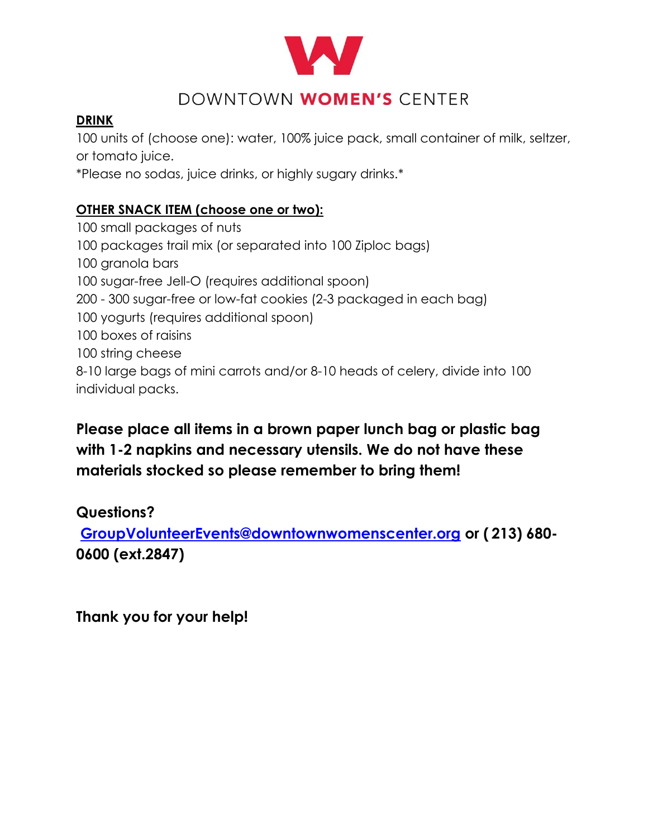

# DOWNTOWN WOMEN'S CENTER

# **DRINK**

100 units of (choose one): water, 100% juice pack, small container of milk, seltzer, or tomato juice.

\*Please no sodas, juice drinks, or highly sugary drinks.\*

# **OTHER SNACK ITEM (choose one or two):**

 small packages of nuts packages trail mix (or separated into 100 Ziploc bags) granola bars sugar-free Jell-O (requires additional spoon) - 300 sugar-free or low-fat cookies (2-3 packaged in each bag) yogurts (requires additional spoon) boxes of raisins string cheese 8-10 large bags of mini carrots and/or 8-10 heads of celery, divide into 100 individual packs.

# **Please place all items in a brown paper lunch bag or plastic bag with 1-2 napkins and necessary utensils. We do not have these materials stocked so please remember to bring them!**

# **Questions?**

**[GroupVolunteerEvents@downtownwomenscenter.org](mailto:GroupVolunteerEvents@downtownwomenscenter.org) or ( [213\) 680-](tel:213.860.0600) [0600](tel:213.860.0600) (ext.2847)**

**Thank you for your help!**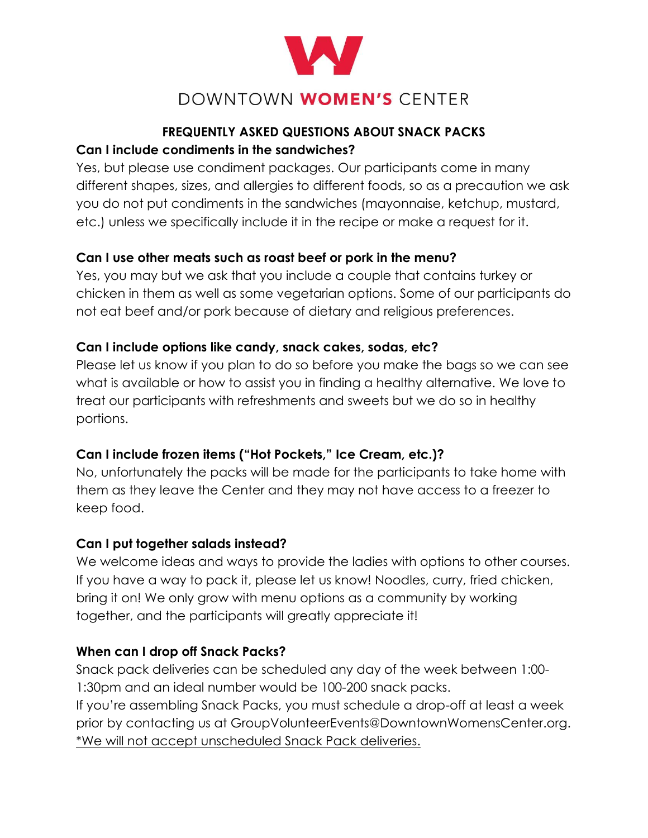

# DOWNTOWN WOMEN'S CENTER

## **FREQUENTLY ASKED QUESTIONS ABOUT SNACK PACKS Can I include condiments in the sandwiches?**

Yes, but please use condiment packages. Our participants come in many different shapes, sizes, and allergies to different foods, so as a precaution we ask you do not put condiments in the sandwiches (mayonnaise, ketchup, mustard, etc.) unless we specifically include it in the recipe or make a request for it.

# **Can I use other meats such as roast beef or pork in the menu?**

Yes, you may but we ask that you include a couple that contains turkey or chicken in them as well as some vegetarian options. Some of our participants do not eat beef and/or pork because of dietary and religious preferences.

# **Can I include options like candy, snack cakes, sodas, etc?**

Please let us know if you plan to do so before you make the bags so we can see what is available or how to assist you in finding a healthy alternative. We love to treat our participants with refreshments and sweets but we do so in healthy portions.

# **Can I include frozen items ("Hot Pockets," Ice Cream, etc.)?**

No, unfortunately the packs will be made for the participants to take home with them as they leave the Center and they may not have access to a freezer to keep food.

# **Can I put together salads instead?**

We welcome ideas and ways to provide the ladies with options to other courses. If you have a way to pack it, please let us know! Noodles, curry, fried chicken, bring it on! We only grow with menu options as a community by working together, and the participants will greatly appreciate it!

# **When can I drop off Snack Packs?**

Snack pack deliveries can be scheduled any day of the week between 1:00- 1:30pm and an ideal number would be 100-200 snack packs. If you're assembling Snack Packs, you must schedule a drop-off at least a week prior by contacting us at GroupVolunteerEvents@DowntownWomensCenter.org. \*We will not accept unscheduled Snack Pack deliveries.